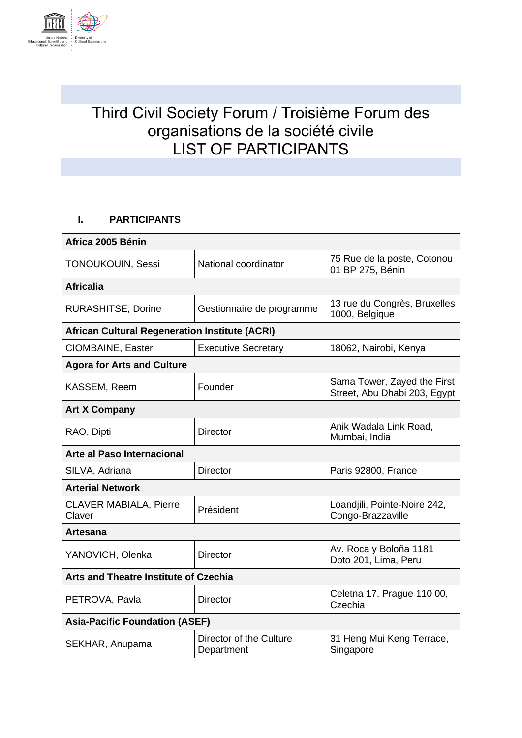

## Third Civil Society Forum / Troisième Forum des organisations de la société civile LIST OF PARTICIPANTS

## **I. PARTICIPANTS**

| Africa 2005 Bénin                                     |                                       |                                                             |
|-------------------------------------------------------|---------------------------------------|-------------------------------------------------------------|
| TONOUKOUIN, Sessi                                     | National coordinator                  | 75 Rue de la poste, Cotonou<br>01 BP 275, Bénin             |
| <b>Africalia</b>                                      |                                       |                                                             |
| <b>RURASHITSE, Dorine</b>                             | Gestionnaire de programme             | 13 rue du Congrès, Bruxelles<br>1000, Belgique              |
| <b>African Cultural Regeneration Institute (ACRI)</b> |                                       |                                                             |
| CIOMBAINE, Easter                                     | <b>Executive Secretary</b>            | 18062, Nairobi, Kenya                                       |
| <b>Agora for Arts and Culture</b>                     |                                       |                                                             |
| KASSEM, Reem                                          | Founder                               | Sama Tower, Zayed the First<br>Street, Abu Dhabi 203, Egypt |
| <b>Art X Company</b>                                  |                                       |                                                             |
| RAO, Dipti                                            | <b>Director</b>                       | Anik Wadala Link Road,<br>Mumbai, India                     |
| Arte al Paso Internacional                            |                                       |                                                             |
| SILVA, Adriana                                        | <b>Director</b>                       | Paris 92800, France                                         |
| <b>Arterial Network</b>                               |                                       |                                                             |
| <b>CLAVER MABIALA, Pierre</b><br>Claver               | Président                             | Loandjili, Pointe-Noire 242,<br>Congo-Brazzaville           |
| Artesana                                              |                                       |                                                             |
| YANOVICH, Olenka                                      | <b>Director</b>                       | Av. Roca y Boloña 1181<br>Dpto 201, Lima, Peru              |
| <b>Arts and Theatre Institute of Czechia</b>          |                                       |                                                             |
| PETROVA, Pavla                                        | <b>Director</b>                       | Celetna 17, Prague 110 00,<br>Czechia                       |
| <b>Asia-Pacific Foundation (ASEF)</b>                 |                                       |                                                             |
| SEKHAR, Anupama                                       | Director of the Culture<br>Department | 31 Heng Mui Keng Terrace,<br>Singapore                      |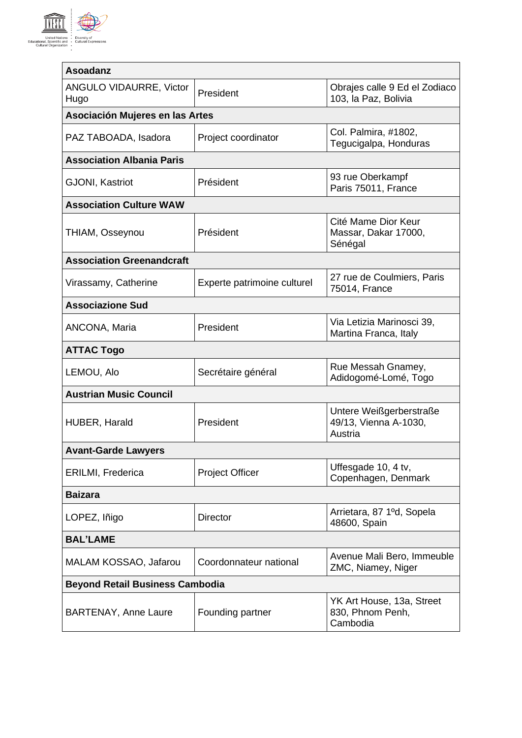

| <b>Asoadanz</b>                        |                             |                                                             |
|----------------------------------------|-----------------------------|-------------------------------------------------------------|
| <b>ANGULO VIDAURRE, Victor</b><br>Hugo | President                   | Obrajes calle 9 Ed el Zodiaco<br>103, la Paz, Bolivia       |
| Asociación Mujeres en las Artes        |                             |                                                             |
| PAZ TABOADA, Isadora                   | Project coordinator         | Col. Palmira, #1802,<br>Tegucigalpa, Honduras               |
| <b>Association Albania Paris</b>       |                             |                                                             |
| <b>GJONI, Kastriot</b>                 | Président                   | 93 rue Oberkampf<br>Paris 75011, France                     |
| <b>Association Culture WAW</b>         |                             |                                                             |
| THIAM, Osseynou                        | Président                   | Cité Mame Dior Keur<br>Massar, Dakar 17000,<br>Sénégal      |
| <b>Association Greenandcraft</b>       |                             |                                                             |
| Virassamy, Catherine                   | Experte patrimoine culturel | 27 rue de Coulmiers, Paris<br>75014, France                 |
| <b>Associazione Sud</b>                |                             |                                                             |
| ANCONA, Maria                          | President                   | Via Letizia Marinosci 39,<br>Martina Franca, Italy          |
| <b>ATTAC Togo</b>                      |                             |                                                             |
| LEMOU, Alo                             | Secrétaire général          | Rue Messah Gnamey,<br>Adidogomé-Lomé, Togo                  |
| <b>Austrian Music Council</b>          |                             |                                                             |
| HUBER, Harald                          | President                   | Untere Weißgerberstraße<br>49/13, Vienna A-1030,<br>Austria |
| <b>Avant-Garde Lawyers</b>             |                             |                                                             |
| <b>ERILMI, Frederica</b>               | <b>Project Officer</b>      | Uffesgade 10, 4 tv,<br>Copenhagen, Denmark                  |
| <b>Baizara</b>                         |                             |                                                             |
| LOPEZ, Iñigo                           | <b>Director</b>             | Arrietara, 87 1ºd, Sopela<br>48600, Spain                   |
| <b>BAL'LAME</b>                        |                             |                                                             |
| MALAM KOSSAO, Jafarou                  | Coordonnateur national      | Avenue Mali Bero, Immeuble<br>ZMC, Niamey, Niger            |
| <b>Beyond Retail Business Cambodia</b> |                             |                                                             |
| <b>BARTENAY, Anne Laure</b>            | Founding partner            | YK Art House, 13a, Street<br>830, Phnom Penh,<br>Cambodia   |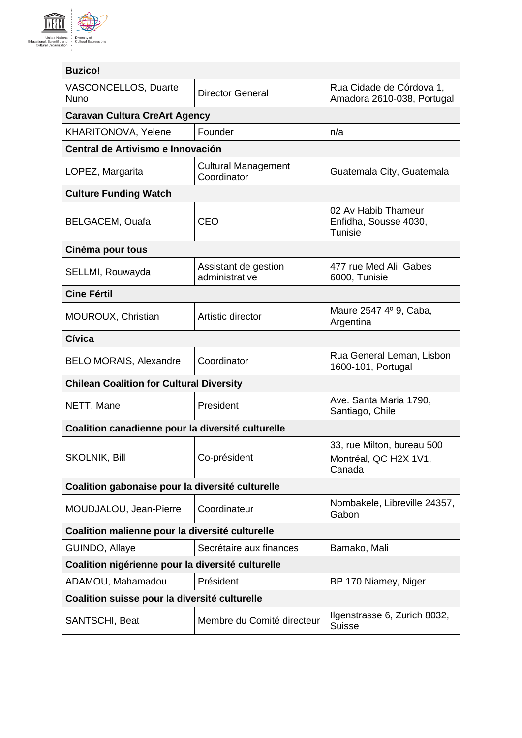

| <b>Buzico!</b>                                    |                                           |                                                                |
|---------------------------------------------------|-------------------------------------------|----------------------------------------------------------------|
| <b>VASCONCELLOS, Duarte</b><br><b>Nuno</b>        | <b>Director General</b>                   | Rua Cidade de Córdova 1,<br>Amadora 2610-038, Portugal         |
| <b>Caravan Cultura CreArt Agency</b>              |                                           |                                                                |
| KHARITONOVA, Yelene                               | Founder                                   | n/a                                                            |
| Central de Artivismo e Innovación                 |                                           |                                                                |
| LOPEZ, Margarita                                  | <b>Cultural Management</b><br>Coordinator | Guatemala City, Guatemala                                      |
| <b>Culture Funding Watch</b>                      |                                           |                                                                |
| <b>BELGACEM, Ouafa</b>                            | <b>CEO</b>                                | 02 Av Habib Thameur<br>Enfidha, Sousse 4030,<br><b>Tunisie</b> |
| Cinéma pour tous                                  |                                           |                                                                |
| SELLMI, Rouwayda                                  | Assistant de gestion<br>administrative    | 477 rue Med Ali, Gabes<br>6000, Tunisie                        |
| <b>Cine Fértil</b>                                |                                           |                                                                |
| MOUROUX, Christian                                | Artistic director                         | Maure 2547 4º 9, Caba,<br>Argentina                            |
| Cívica                                            |                                           |                                                                |
| <b>BELO MORAIS, Alexandre</b>                     | Coordinator                               | Rua General Leman, Lisbon<br>1600-101, Portugal                |
| <b>Chilean Coalition for Cultural Diversity</b>   |                                           |                                                                |
| NETT, Mane                                        | President                                 | Ave. Santa Maria 1790,<br>Santiago, Chile                      |
| Coalition canadienne pour la diversité culturelle |                                           |                                                                |
| <b>SKOLNIK, Bill</b>                              | Co-président                              | 33, rue Milton, bureau 500<br>Montréal, QC H2X 1V1,<br>Canada  |
| Coalition gabonaise pour la diversité culturelle  |                                           |                                                                |
| MOUDJALOU, Jean-Pierre                            | Coordinateur                              | Nombakele, Libreville 24357,<br>Gabon                          |
| Coalition malienne pour la diversité culturelle   |                                           |                                                                |
| GUINDO, Allaye                                    | Secrétaire aux finances                   | Bamako, Mali                                                   |
| Coalition nigérienne pour la diversité culturelle |                                           |                                                                |
| ADAMOU, Mahamadou                                 | Président                                 | BP 170 Niamey, Niger                                           |
| Coalition suisse pour la diversité culturelle     |                                           |                                                                |
| SANTSCHI, Beat                                    | Membre du Comité directeur                | Ilgenstrasse 6, Zurich 8032,<br><b>Suisse</b>                  |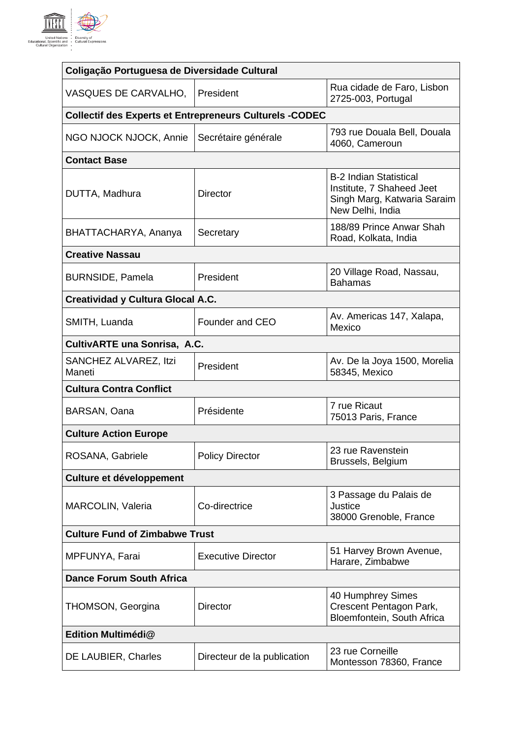

| Coligação Portuguesa de Diversidade Cultural |                                                                |                                                                                                               |
|----------------------------------------------|----------------------------------------------------------------|---------------------------------------------------------------------------------------------------------------|
| VASQUES DE CARVALHO,                         | President                                                      | Rua cidade de Faro, Lisbon<br>2725-003, Portugal                                                              |
|                                              | <b>Collectif des Experts et Entrepreneurs Culturels -CODEC</b> |                                                                                                               |
| NGO NJOCK NJOCK, Annie                       | Secrétaire générale                                            | 793 rue Douala Bell, Douala<br>4060, Cameroun                                                                 |
| <b>Contact Base</b>                          |                                                                |                                                                                                               |
| DUTTA, Madhura                               | <b>Director</b>                                                | <b>B-2 Indian Statistical</b><br>Institute, 7 Shaheed Jeet<br>Singh Marg, Katwaria Saraim<br>New Delhi, India |
| BHATTACHARYA, Ananya                         | Secretary                                                      | 188/89 Prince Anwar Shah<br>Road, Kolkata, India                                                              |
| <b>Creative Nassau</b>                       |                                                                |                                                                                                               |
| <b>BURNSIDE, Pamela</b>                      | President                                                      | 20 Village Road, Nassau,<br><b>Bahamas</b>                                                                    |
| <b>Creatividad y Cultura Glocal A.C.</b>     |                                                                |                                                                                                               |
| SMITH, Luanda                                | Founder and CEO                                                | Av. Americas 147, Xalapa,<br>Mexico                                                                           |
| CultivARTE una Sonrisa, A.C.                 |                                                                |                                                                                                               |
| SANCHEZ ALVAREZ, Itzi<br>Maneti              | President                                                      | Av. De la Joya 1500, Morelia<br>58345, Mexico                                                                 |
| <b>Cultura Contra Conflict</b>               |                                                                |                                                                                                               |
| BARSAN, Oana                                 | Présidente                                                     | 7 rue Ricaut<br>75013 Paris, France                                                                           |
| <b>Culture Action Europe</b>                 |                                                                |                                                                                                               |
| ROSANA, Gabriele                             | <b>Policy Director</b>                                         | 23 rue Ravenstein<br>Brussels, Belgium                                                                        |
| Culture et développement                     |                                                                |                                                                                                               |
| MARCOLIN, Valeria                            | Co-directrice                                                  | 3 Passage du Palais de<br>Justice<br>38000 Grenoble, France                                                   |
| <b>Culture Fund of Zimbabwe Trust</b>        |                                                                |                                                                                                               |
| MPFUNYA, Farai                               | <b>Executive Director</b>                                      | 51 Harvey Brown Avenue,<br>Harare, Zimbabwe                                                                   |
| <b>Dance Forum South Africa</b>              |                                                                |                                                                                                               |
| <b>THOMSON, Georgina</b>                     | <b>Director</b>                                                | 40 Humphrey Simes<br>Crescent Pentagon Park,<br>Bloemfontein, South Africa                                    |
| Edition Multimédi@                           |                                                                |                                                                                                               |
| DE LAUBIER, Charles                          | Directeur de la publication                                    | 23 rue Corneille<br>Montesson 78360, France                                                                   |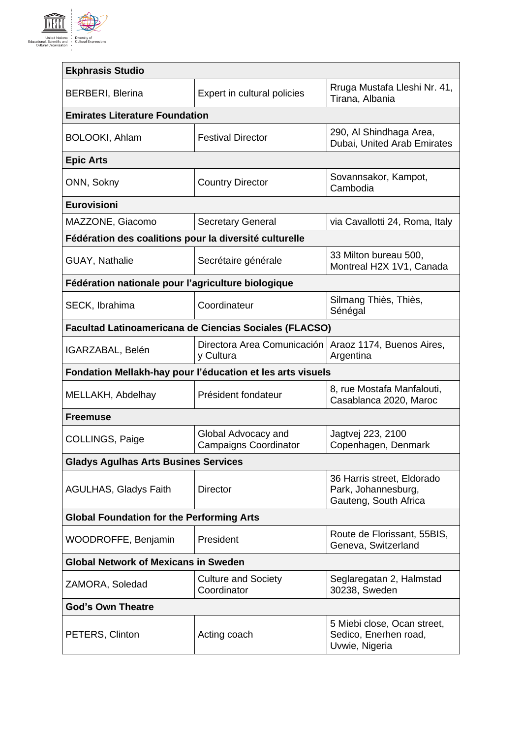

| <b>Ekphrasis Studio</b>                                |                                                            |                                                                            |  |
|--------------------------------------------------------|------------------------------------------------------------|----------------------------------------------------------------------------|--|
| <b>BERBERI, Blerina</b>                                | Expert in cultural policies                                | Rruga Mustafa Lleshi Nr. 41,<br>Tirana, Albania                            |  |
| <b>Emirates Literature Foundation</b>                  |                                                            |                                                                            |  |
| BOLOOKI, Ahlam                                         | <b>Festival Director</b>                                   | 290, Al Shindhaga Area,<br>Dubai, United Arab Emirates                     |  |
| <b>Epic Arts</b>                                       |                                                            |                                                                            |  |
| ONN, Sokny                                             | <b>Country Director</b>                                    | Sovannsakor, Kampot,<br>Cambodia                                           |  |
| <b>Eurovisioni</b>                                     |                                                            |                                                                            |  |
| MAZZONE, Giacomo                                       | <b>Secretary General</b>                                   | via Cavallotti 24, Roma, Italy                                             |  |
| Fédération des coalitions pour la diversité culturelle |                                                            |                                                                            |  |
| <b>GUAY, Nathalie</b>                                  | Secrétaire générale                                        | 33 Milton bureau 500,<br>Montreal H2X 1V1, Canada                          |  |
| Fédération nationale pour l'agriculture biologique     |                                                            |                                                                            |  |
| SECK, Ibrahima                                         | Coordinateur                                               | Silmang Thiès, Thiès,<br>Sénégal                                           |  |
|                                                        | Facultad Latinoamericana de Ciencias Sociales (FLACSO)     |                                                                            |  |
| IGARZABAL, Belén                                       | Directora Area Comunicación<br>y Cultura                   | Araoz 1174, Buenos Aires,<br>Argentina                                     |  |
|                                                        | Fondation Mellakh-hay pour l'éducation et les arts visuels |                                                                            |  |
| MELLAKH, Abdelhay                                      | Président fondateur                                        | 8, rue Mostafa Manfalouti,<br>Casablanca 2020, Maroc                       |  |
| <b>Freemuse</b>                                        |                                                            |                                                                            |  |
| COLLINGS, Paige                                        | Global Advocacy and<br><b>Campaigns Coordinator</b>        | Jagtvej 223, 2100<br>Copenhagen, Denmark                                   |  |
| <b>Gladys Agulhas Arts Busines Services</b>            |                                                            |                                                                            |  |
| <b>AGULHAS, Gladys Faith</b>                           | <b>Director</b>                                            | 36 Harris street, Eldorado<br>Park, Johannesburg,<br>Gauteng, South Africa |  |
| <b>Global Foundation for the Performing Arts</b>       |                                                            |                                                                            |  |
| WOODROFFE, Benjamin                                    | President                                                  | Route de Florissant, 55BIS,<br>Geneva, Switzerland                         |  |
| <b>Global Network of Mexicans in Sweden</b>            |                                                            |                                                                            |  |
| ZAMORA, Soledad                                        | <b>Culture and Society</b><br>Coordinator                  | Seglaregatan 2, Halmstad<br>30238, Sweden                                  |  |
| <b>God's Own Theatre</b>                               |                                                            |                                                                            |  |
| PETERS, Clinton                                        | Acting coach                                               | 5 Miebi close, Ocan street,<br>Sedico, Enerhen road,<br>Uvwie, Nigeria     |  |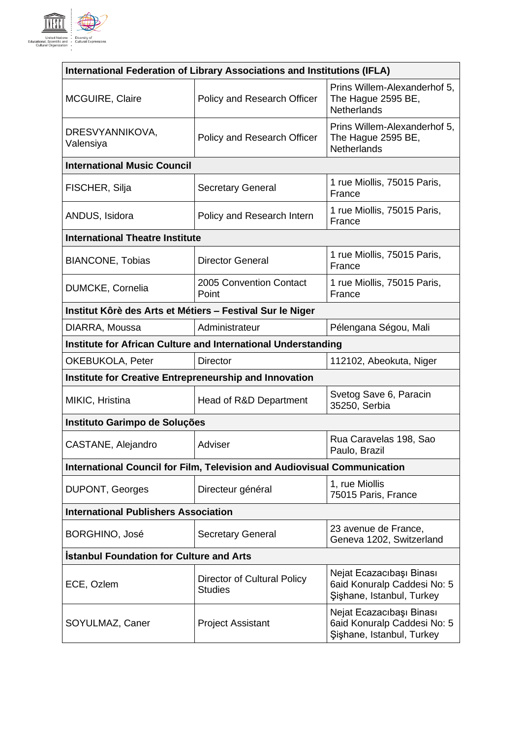

| International Federation of Library Associations and Institutions (IFLA) |                                                                                 |                                                                                      |
|--------------------------------------------------------------------------|---------------------------------------------------------------------------------|--------------------------------------------------------------------------------------|
| <b>MCGUIRE, Claire</b>                                                   | Policy and Research Officer                                                     | Prins Willem-Alexanderhof 5,<br>The Hague 2595 BE,<br><b>Netherlands</b>             |
| DRESVYANNIKOVA,<br>Valensiya                                             | Policy and Research Officer                                                     | Prins Willem-Alexanderhof 5,<br>The Hague 2595 BE,<br>Netherlands                    |
| <b>International Music Council</b>                                       |                                                                                 |                                                                                      |
| FISCHER, Silja                                                           | <b>Secretary General</b>                                                        | 1 rue Miollis, 75015 Paris,<br>France                                                |
| ANDUS, Isidora                                                           | Policy and Research Intern                                                      | 1 rue Miollis, 75015 Paris,<br>France                                                |
| <b>International Theatre Institute</b>                                   |                                                                                 |                                                                                      |
| <b>BIANCONE, Tobias</b>                                                  | <b>Director General</b>                                                         | 1 rue Miollis, 75015 Paris,<br>France                                                |
| <b>DUMCKE, Cornelia</b>                                                  | 2005 Convention Contact<br>Point                                                | 1 rue Miollis, 75015 Paris,<br>France                                                |
| Institut Kôrè des Arts et Métiers - Festival Sur le Niger                |                                                                                 |                                                                                      |
| DIARRA, Moussa                                                           | Administrateur                                                                  | Pélengana Ségou, Mali                                                                |
|                                                                          | Institute for African Culture and International Understanding                   |                                                                                      |
| <b>OKEBUKOLA, Peter</b>                                                  | <b>Director</b>                                                                 | 112102, Abeokuta, Niger                                                              |
| <b>Institute for Creative Entrepreneurship and Innovation</b>            |                                                                                 |                                                                                      |
| MIKIC, Hristina                                                          | Head of R&D Department                                                          | Svetog Save 6, Paracin<br>35250, Serbia                                              |
| Instituto Garimpo de Soluções                                            |                                                                                 |                                                                                      |
| CASTANE, Alejandro                                                       | Adviser                                                                         | Rua Caravelas 198, Sao<br>Paulo, Brazil                                              |
|                                                                          | <b>International Council for Film, Television and Audiovisual Communication</b> |                                                                                      |
| <b>DUPONT, Georges</b>                                                   | Directeur général                                                               | 1, rue Miollis<br>75015 Paris, France                                                |
| <b>International Publishers Association</b>                              |                                                                                 |                                                                                      |
| BORGHINO, José                                                           | <b>Secretary General</b>                                                        | 23 avenue de France,<br>Geneva 1202, Switzerland                                     |
| <b>Istanbul Foundation for Culture and Arts</b>                          |                                                                                 |                                                                                      |
| ECE, Ozlem                                                               | Director of Cultural Policy<br><b>Studies</b>                                   | Nejat Ecazacıbaşı Binası<br>6aid Konuralp Caddesi No: 5<br>Şişhane, Istanbul, Turkey |
| SOYULMAZ, Caner                                                          | <b>Project Assistant</b>                                                        | Nejat Ecazacıbaşı Binası<br>6aid Konuralp Caddesi No: 5<br>Şişhane, Istanbul, Turkey |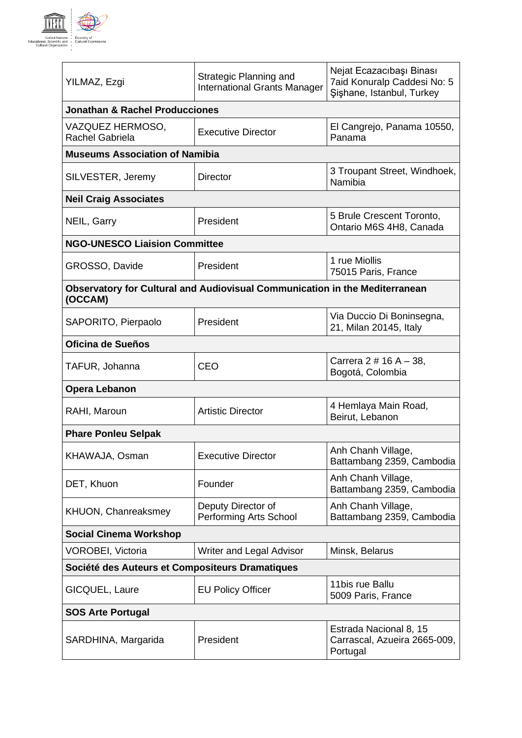

| YILMAZ, Ezgi                                    | Strategic Planning and<br><b>International Grants Manager</b>               | Nejat Ecazacıbaşı Binası<br>7aid Konuralp Caddesi No: 5<br>Şişhane, Istanbul, Turkey |
|-------------------------------------------------|-----------------------------------------------------------------------------|--------------------------------------------------------------------------------------|
| <b>Jonathan &amp; Rachel Producciones</b>       |                                                                             |                                                                                      |
| VAZQUEZ HERMOSO,<br>Rachel Gabriela             | <b>Executive Director</b>                                                   | El Cangrejo, Panama 10550,<br>Panama                                                 |
| <b>Museums Association of Namibia</b>           |                                                                             |                                                                                      |
| SILVESTER, Jeremy                               | <b>Director</b>                                                             | 3 Troupant Street, Windhoek,<br>Namibia                                              |
| <b>Neil Craig Associates</b>                    |                                                                             |                                                                                      |
| NEIL, Garry                                     | President                                                                   | 5 Brule Crescent Toronto,<br>Ontario M6S 4H8, Canada                                 |
| <b>NGO-UNESCO Liaision Committee</b>            |                                                                             |                                                                                      |
| GROSSO, Davide                                  | President                                                                   | 1 rue Miollis<br>75015 Paris, France                                                 |
| (OCCAM)                                         | Observatory for Cultural and Audiovisual Communication in the Mediterranean |                                                                                      |
| SAPORITO, Pierpaolo                             | President                                                                   | Via Duccio Di Boninsegna,<br>21, Milan 20145, Italy                                  |
| Oficina de Sueños                               |                                                                             |                                                                                      |
| TAFUR, Johanna                                  | CEO                                                                         | Carrera 2 # 16 A - 38,<br>Bogotá, Colombia                                           |
| <b>Opera Lebanon</b>                            |                                                                             |                                                                                      |
| RAHI, Maroun                                    | <b>Artistic Director</b>                                                    | 4 Hemlaya Main Road,<br>Beirut, Lebanon                                              |
| <b>Phare Ponleu Selpak</b>                      |                                                                             |                                                                                      |
| KHAWAJA, Osman                                  | <b>Executive Director</b>                                                   | Anh Chanh Village,<br>Battambang 2359, Cambodia                                      |
| DET, Khuon                                      | Founder                                                                     | Anh Chanh Village,<br>Battambang 2359, Cambodia                                      |
| KHUON, Chanreaksmey                             | Deputy Director of<br>Performing Arts School                                | Anh Chanh Village,<br>Battambang 2359, Cambodia                                      |
| <b>Social Cinema Workshop</b>                   |                                                                             |                                                                                      |
| <b>VOROBEI, Victoria</b>                        | Writer and Legal Advisor                                                    | Minsk, Belarus                                                                       |
| Société des Auteurs et Compositeurs Dramatiques |                                                                             |                                                                                      |
| GICQUEL, Laure                                  | <b>EU Policy Officer</b>                                                    | 11bis rue Ballu<br>5009 Paris, France                                                |
| <b>SOS Arte Portugal</b>                        |                                                                             |                                                                                      |
| SARDHINA, Margarida                             | President                                                                   | Estrada Nacional 8, 15<br>Carrascal, Azueira 2665-009,<br>Portugal                   |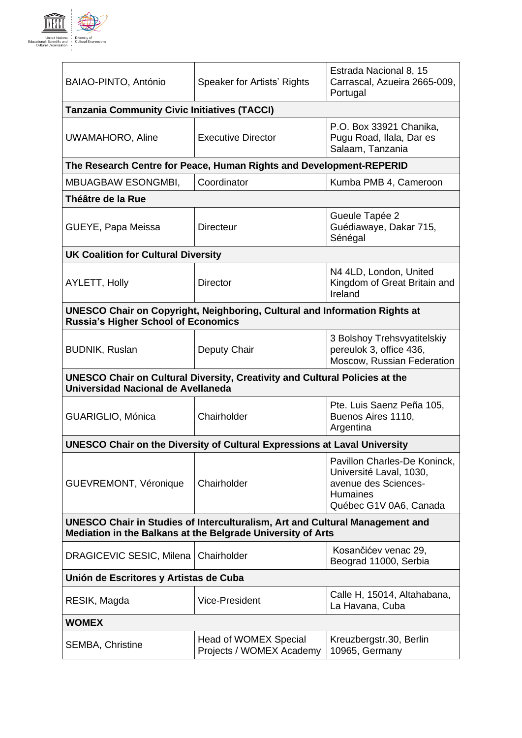

| Speaker for Artists' Rights                                                                                                                 | Estrada Nacional 8, 15<br>Carrascal, Azueira 2665-009,<br>Portugal                                                           |  |
|---------------------------------------------------------------------------------------------------------------------------------------------|------------------------------------------------------------------------------------------------------------------------------|--|
| <b>Tanzania Community Civic Initiatives (TACCI)</b>                                                                                         |                                                                                                                              |  |
| <b>Executive Director</b>                                                                                                                   | P.O. Box 33921 Chanika,<br>Pugu Road, Ilala, Dar es<br>Salaam, Tanzania                                                      |  |
| The Research Centre for Peace, Human Rights and Development-REPERID                                                                         |                                                                                                                              |  |
| Coordinator                                                                                                                                 | Kumba PMB 4, Cameroon                                                                                                        |  |
|                                                                                                                                             |                                                                                                                              |  |
| <b>Directeur</b>                                                                                                                            | Gueule Tapée 2<br>Guédiawaye, Dakar 715,<br>Sénégal                                                                          |  |
| <b>UK Coalition for Cultural Diversity</b>                                                                                                  |                                                                                                                              |  |
| <b>Director</b>                                                                                                                             | N4 4LD, London, United<br>Kingdom of Great Britain and<br>Ireland                                                            |  |
| <b>UNESCO Chair on Copyright, Neighboring, Cultural and Information Rights at</b><br><b>Russia's Higher School of Economics</b>             |                                                                                                                              |  |
| Deputy Chair                                                                                                                                | 3 Bolshoy Trehsvyatitelskiy<br>pereulok 3, office 436,<br>Moscow, Russian Federation                                         |  |
| <b>UNESCO Chair on Cultural Diversity, Creativity and Cultural Policies at the</b><br>Universidad Nacional de Avellaneda                    |                                                                                                                              |  |
| Chairholder                                                                                                                                 | Pte. Luis Saenz Peña 105,<br>Buenos Aires 1110,<br>Argentina                                                                 |  |
| <b>UNESCO Chair on the Diversity of Cultural Expressions at Laval University</b>                                                            |                                                                                                                              |  |
| Chairholder                                                                                                                                 | Pavillon Charles-De Koninck,<br>Université Laval, 1030,<br>avenue des Sciences-<br><b>Humaines</b><br>Québec G1V 0A6, Canada |  |
| UNESCO Chair in Studies of Interculturalism, Art and Cultural Management and<br>Mediation in the Balkans at the Belgrade University of Arts |                                                                                                                              |  |
| DRAGICEVIC SESIC, Milena<br>Chairholder                                                                                                     | Kosančićev venac 29,<br>Beograd 11000, Serbia                                                                                |  |
| Unión de Escritores y Artistas de Cuba                                                                                                      |                                                                                                                              |  |
| <b>Vice-President</b>                                                                                                                       | Calle H, 15014, Altahabana,<br>La Havana, Cuba                                                                               |  |
| <b>WOMEX</b>                                                                                                                                |                                                                                                                              |  |
| Head of WOMEX Special<br>Projects / WOMEX Academy                                                                                           | Kreuzbergstr.30, Berlin<br>10965, Germany                                                                                    |  |
|                                                                                                                                             |                                                                                                                              |  |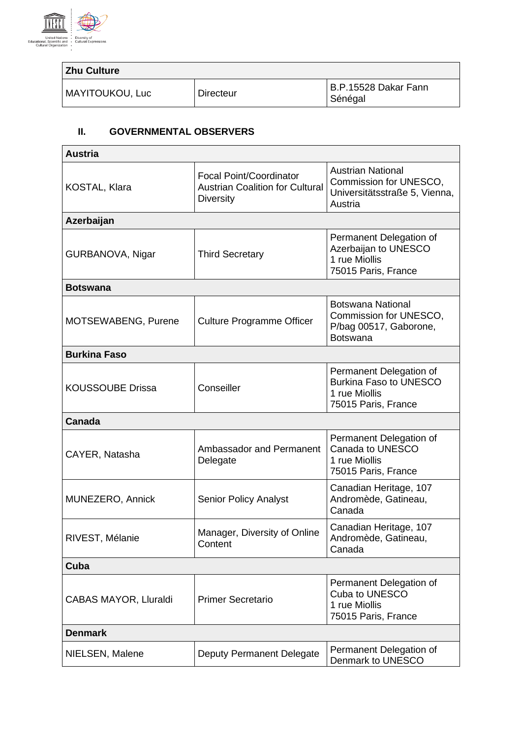

| <b>Zhu Culture</b> |           |                                 |
|--------------------|-----------|---------------------------------|
| MAYITOUKOU, Luc    | Directeur | B.P.15528 Dakar Fann<br>Sénégal |

## **II. GOVERNMENTAL OBSERVERS**

| <b>Austria</b>               |                                                                                              |                                                                                                  |
|------------------------------|----------------------------------------------------------------------------------------------|--------------------------------------------------------------------------------------------------|
| <b>KOSTAL, Klara</b>         | <b>Focal Point/Coordinator</b><br><b>Austrian Coalition for Cultural</b><br><b>Diversity</b> | <b>Austrian National</b><br>Commission for UNESCO,<br>Universitätsstraße 5, Vienna,<br>Austria   |
| Azerbaijan                   |                                                                                              |                                                                                                  |
| GURBANOVA, Nigar             | <b>Third Secretary</b>                                                                       | Permanent Delegation of<br>Azerbaijan to UNESCO<br>1 rue Miollis<br>75015 Paris, France          |
| <b>Botswana</b>              |                                                                                              |                                                                                                  |
| MOTSEWABENG, Purene          | <b>Culture Programme Officer</b>                                                             | <b>Botswana National</b><br>Commission for UNESCO,<br>P/bag 00517, Gaborone,<br><b>Botswana</b>  |
| <b>Burkina Faso</b>          |                                                                                              |                                                                                                  |
| <b>KOUSSOUBE Drissa</b>      | Conseiller                                                                                   | Permanent Delegation of<br><b>Burkina Faso to UNESCO</b><br>1 rue Miollis<br>75015 Paris, France |
| Canada                       |                                                                                              |                                                                                                  |
| CAYER, Natasha               | Ambassador and Permanent<br>Delegate                                                         | Permanent Delegation of<br>Canada to UNESCO<br>1 rue Miollis<br>75015 Paris, France              |
| MUNEZERO, Annick             | <b>Senior Policy Analyst</b>                                                                 | Canadian Heritage, 107<br>Andromède, Gatineau,<br>Canada                                         |
| RIVEST, Mélanie              | Manager, Diversity of Online<br>Content                                                      | Canadian Heritage, 107<br>Andromède, Gatineau,<br>Canada                                         |
| Cuba                         |                                                                                              |                                                                                                  |
| <b>CABAS MAYOR, Lluraldi</b> | <b>Primer Secretario</b>                                                                     | Permanent Delegation of<br>Cuba to UNESCO<br>1 rue Miollis<br>75015 Paris, France                |
| <b>Denmark</b>               |                                                                                              |                                                                                                  |
| NIELSEN, Malene              | Deputy Permanent Delegate                                                                    | Permanent Delegation of<br>Denmark to UNESCO                                                     |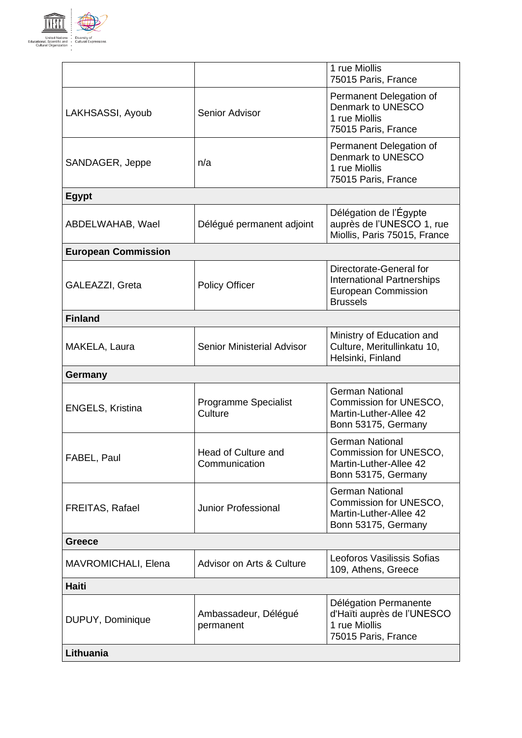

|                            |                                        | 1 rue Miollis<br>75015 Paris, France                                                                          |
|----------------------------|----------------------------------------|---------------------------------------------------------------------------------------------------------------|
| LAKHSASSI, Ayoub           | Senior Advisor                         | Permanent Delegation of<br>Denmark to UNESCO<br>1 rue Miollis<br>75015 Paris, France                          |
| SANDAGER, Jeppe            | n/a                                    | Permanent Delegation of<br>Denmark to UNESCO<br>1 rue Miollis<br>75015 Paris, France                          |
| <b>Egypt</b>               |                                        |                                                                                                               |
| ABDELWAHAB, Wael           | Délégué permanent adjoint              | Délégation de l'Égypte<br>auprès de l'UNESCO 1, rue<br>Miollis, Paris 75015, France                           |
| <b>European Commission</b> |                                        |                                                                                                               |
| GALEAZZI, Greta            | <b>Policy Officer</b>                  | Directorate-General for<br><b>International Partnerships</b><br><b>European Commission</b><br><b>Brussels</b> |
| <b>Finland</b>             |                                        |                                                                                                               |
| MAKELA, Laura              | Senior Ministerial Advisor             | Ministry of Education and<br>Culture, Meritullinkatu 10,<br>Helsinki, Finland                                 |
| <b>Germany</b>             |                                        |                                                                                                               |
| <b>ENGELS, Kristina</b>    | <b>Programme Specialist</b><br>Culture | <b>German National</b><br>Commission for UNESCO,<br>Martin-Luther-Allee 42<br>Bonn 53175, Germany             |
| FABEL, Paul                | Head of Culture and<br>Communication   | <b>German National</b><br>Commission for UNESCO,<br>Martin-Luther-Allee 42<br>Bonn 53175, Germany             |
| FREITAS, Rafael            | <b>Junior Professional</b>             | <b>German National</b><br>Commission for UNESCO,<br>Martin-Luther-Allee 42<br>Bonn 53175, Germany             |
| <b>Greece</b>              |                                        |                                                                                                               |
| MAVROMICHALI, Elena        | Advisor on Arts & Culture              | Leoforos Vasilissis Sofias<br>109, Athens, Greece                                                             |
| Haiti                      |                                        |                                                                                                               |
| DUPUY, Dominique           | Ambassadeur, Délégué<br>permanent      | Délégation Permanente<br>d'Haïti auprès de l'UNESCO<br>1 rue Miollis<br>75015 Paris, France                   |
| Lithuania                  |                                        |                                                                                                               |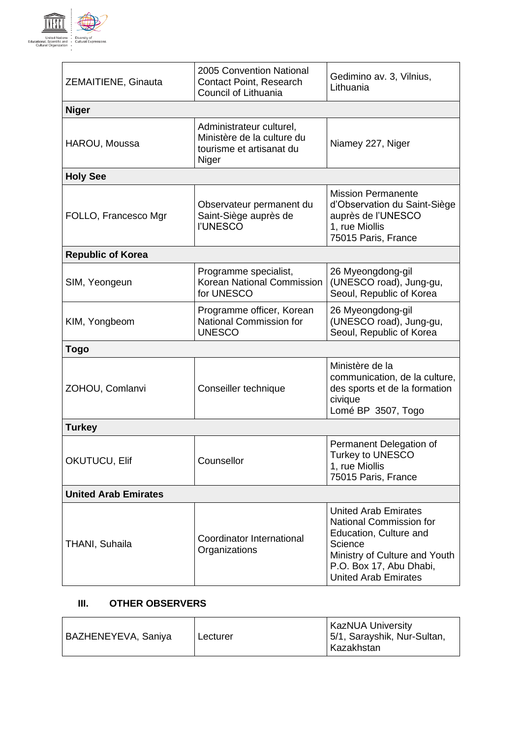

| ZEMAITIENE, Ginauta         | 2005 Convention National<br>Contact Point, Research<br>Council of Lithuania                 | Gedimino av. 3, Vilnius,<br>Lithuania                                                                                                                                                  |
|-----------------------------|---------------------------------------------------------------------------------------------|----------------------------------------------------------------------------------------------------------------------------------------------------------------------------------------|
| <b>Niger</b>                |                                                                                             |                                                                                                                                                                                        |
| HAROU, Moussa               | Administrateur culturel,<br>Ministère de la culture du<br>tourisme et artisanat du<br>Niger | Niamey 227, Niger                                                                                                                                                                      |
| <b>Holy See</b>             |                                                                                             |                                                                                                                                                                                        |
| FOLLO, Francesco Mgr        | Observateur permanent du<br>Saint-Siège auprès de<br><b>I'UNESCO</b>                        | <b>Mission Permanente</b><br>d'Observation du Saint-Siège<br>auprès de l'UNESCO<br>1, rue Miollis<br>75015 Paris, France                                                               |
| <b>Republic of Korea</b>    |                                                                                             |                                                                                                                                                                                        |
| SIM, Yeongeun               | Programme specialist,<br>Korean National Commission<br>for UNESCO                           | 26 Myeongdong-gil<br>(UNESCO road), Jung-gu,<br>Seoul, Republic of Korea                                                                                                               |
| KIM, Yongbeom               | Programme officer, Korean<br><b>National Commission for</b><br><b>UNESCO</b>                | 26 Myeongdong-gil<br>(UNESCO road), Jung-gu,<br>Seoul, Republic of Korea                                                                                                               |
| Togo                        |                                                                                             |                                                                                                                                                                                        |
| ZOHOU, Comlanvi             | Conseiller technique                                                                        | Ministère de la<br>communication, de la culture,<br>des sports et de la formation<br>civique<br>Lomé BP 3507, Togo                                                                     |
| <b>Turkey</b>               |                                                                                             |                                                                                                                                                                                        |
| OKUTUCU, Elif               | Counsellor                                                                                  | Permanent Delegation of<br>Turkey to UNESCO<br>1, rue Miollis<br>75015 Paris, France                                                                                                   |
| <b>United Arab Emirates</b> |                                                                                             |                                                                                                                                                                                        |
| THANI, Suhaila              | Coordinator International<br>Organizations                                                  | <b>United Arab Emirates</b><br>National Commission for<br>Education, Culture and<br>Science<br>Ministry of Culture and Youth<br>P.O. Box 17, Abu Dhabi,<br><b>United Arab Emirates</b> |

## **III. OTHER OBSERVERS**

| BAZHENEYEVA, Saniya | Lecturer | <b>KazNUA University</b><br>5/1, Sarayshik, Nur-Sultan,<br>Kazakhstan |
|---------------------|----------|-----------------------------------------------------------------------|
|---------------------|----------|-----------------------------------------------------------------------|